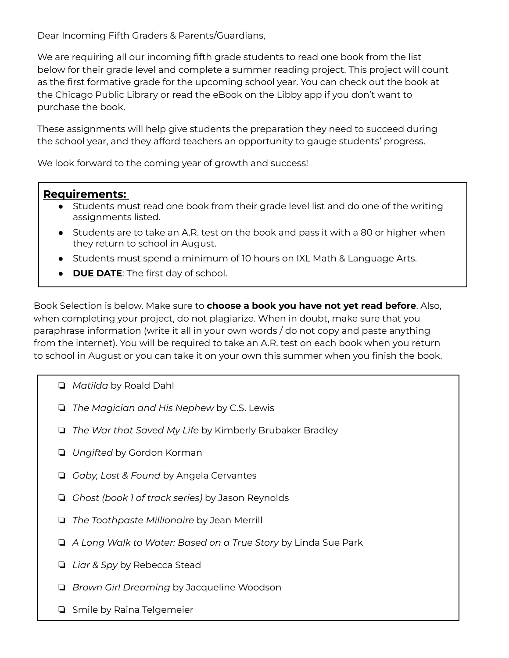Dear Incoming Fifth Graders & Parents/Guardians,

We are requiring all our incoming fifth grade students to read one book from the list below for their grade level and complete a summer reading project. This project will count as the first formative grade for the upcoming school year. You can check out the book at the Chicago Public Library or read the eBook on the Libby app if you don't want to purchase the book.

These assignments will help give students the preparation they need to succeed during the school year, and they afford teachers an opportunity to gauge students' progress.

We look forward to the coming year of growth and success!

# **Requirements:**

- Students must read one book from their grade level list and do one of the writing assignments listed.
- Students are to take an A.R. test on the book and pass it with a 80 or higher when they return to school in August.
- Students must spend a minimum of 10 hours on IXL Math & Language Arts.
- **DUE DATE:** The first day of school.

Book Selection is below. Make sure to **choose a book you have not yet read before**. Also, when completing your project, do not plagiarize. When in doubt, make sure that you paraphrase information (write it all in your own words / do not copy and paste anything from the internet). You will be required to take an A.R. test on each book when you return to school in August or you can take it on your own this summer when you finish the book.

- ❏ *Matilda* by Roald Dahl
- ❏ *The Magician and His Nephew* by C.S. Lewis
- ❏ *The War that Saved My Life* by Kimberly Brubaker Bradley
- ❏ *Ungifted* by Gordon Korman
- ❏ *Gaby, Lost & Found* by Angela Cervantes
- ❏ *Ghost (book 1 of track series)* by Jason Reynolds
- ❏ *The Toothpaste Millionaire* by Jean Merrill
- ❏ *A Long Walk to Water: Based on a True Story* by Linda Sue Park
- ❏ *Liar & Spy* by Rebecca Stead
- ❏ *Brown Girl Dreaming* by Jacqueline Woodson
- ❏ Smile by Raina Telgemeier